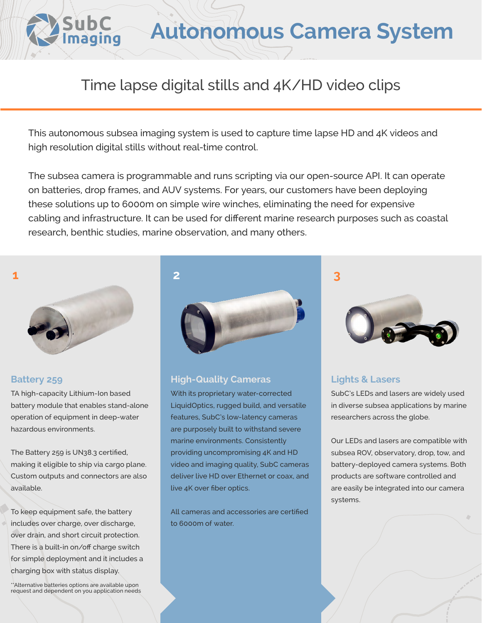

# **Autonomous Camera System**

## Time lapse digital stills and 4K/HD video clips

This autonomous subsea imaging system is used to capture time lapse HD and 4K videos and high resolution digital stills without real-time control.

The subsea camera is programmable and runs scripting via our open-source API. It can operate on batteries, drop frames, and AUV systems. For years, our customers have been deploying these solutions up to 6000m on simple wire winches, eliminating the need for expensive cabling and infrastructure. It can be used for different marine research purposes such as coastal research, benthic studies, marine observation, and many others.





TA high-capacity Lithium-Ion based battery module that enables stand-alone operation of equipment in deep-water hazardous environments.

The Battery 259 is UN38.3 certified, making it eligible to ship via cargo plane. Custom outputs and connectors are also available.

To keep equipment safe, the battery includes over charge, over discharge, over drain, and short circuit protection. There is a built-in on/off charge switch for simple deployment and it includes a charging box with status display.

\*\*Alternative batteries options are available upon request and dependent on you application needs



#### **Battery 259 High-Quality Cameras**

With its proprietary water-corrected LiquidOptics, rugged build, and versatile features, SubC's low-latency cameras are purposely built to withstand severe marine environments. Consistently providing uncompromising 4K and HD video and imaging quality, SubC cameras deliver live HD over Ethernet or coax, and live 4K over fiber optics.

All cameras and accessories are certified to 6000m of water.





### **Lights & Lasers**

SubC's LEDs and lasers are widely used in diverse subsea applications by marine researchers across the globe.

Our LEDs and lasers are compatible with subsea ROV, observatory, drop, tow, and battery-deployed camera systems. Both products are software controlled and are easily be integrated into our camera systems.